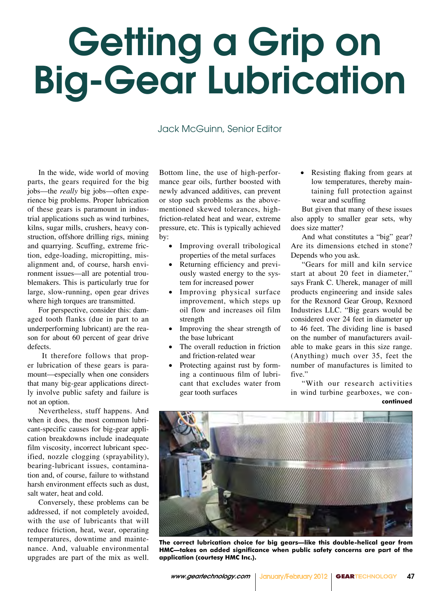## Getting a Grip on Big-Gear Lubrication

Jack McGuinn, Senior Editor

In the wide, wide world of moving parts, the gears required for the big jobs—the *really* big jobs—often experience big problems. Proper lubrication of these gears is paramount in industrial applications such as wind turbines, kilns, sugar mills, crushers, heavy construction, offshore drilling rigs, mining and quarrying. Scuffing, extreme friction, edge-loading, micropitting, misalignment and, of course, harsh environment issues—all are potential troublemakers. This is particularly true for large, slow-running, open gear drives where high torques are transmitted.

For perspective, consider this: damaged tooth flanks (due in part to an underperforming lubricant) are the reason for about 60 percent of gear drive defects.

 It therefore follows that proper lubrication of these gears is paramount—especially when one considers that many big-gear applications directly involve public safety and failure is not an option.

Nevertheless, stuff happens. And when it does, the most common lubricant-specific causes for big-gear application breakdowns include inadequate film viscosity, incorrect lubricant specified, nozzle clogging (sprayability), bearing-lubricant issues, contamination and, of course, failure to withstand harsh environment effects such as dust, salt water, heat and cold.

Conversely, these problems can be addressed, if not completely avoided, with the use of lubricants that will reduce friction, heat, wear, operating temperatures, downtime and maintenance. And, valuable environmental upgrades are part of the mix as well.

Bottom line, the use of high-performance gear oils, further boosted with newly advanced additives, can prevent or stop such problems as the abovementioned skewed tolerances, highfriction-related heat and wear, extreme pressure, etc. This is typically achieved by:

- Improving overall tribological properties of the metal surfaces
- Returning efficiency and previously wasted energy to the system for increased power
- Improving physical surface improvement, which steps up oil flow and increases oil film strength
- Improving the shear strength of the base lubricant
- The overall reduction in friction and friction-related wear
- Protecting against rust by forming a continuous film of lubricant that excludes water from gear tooth surfaces

• Resisting flaking from gears at low temperatures, thereby maintaining full protection against wear and scuffing

But given that many of these issues also apply to smaller gear sets, why does size matter?

And what constitutes a "big" gear? Are its dimensions etched in stone? Depends who you ask.

"Gears for mill and kiln service start at about 20 feet in diameter," says Frank C. Uherek, manager of mill products engineering and inside sales for the Rexnord Gear Group, Rexnord Industries LLC. "Big gears would be considered over 24 feet in diameter up to 46 feet. The dividing line is based on the number of manufacturers available to make gears in this size range. (Anything) much over 35, feet the number of manufactures is limited to five."

"With our research activities in wind turbine gearboxes, we con**continued**



**The correct lubrication choice for big gears—like this double-helical gear from HMC—takes on added significance when public safety concerns are part of the application (courtesy HMC Inc.).**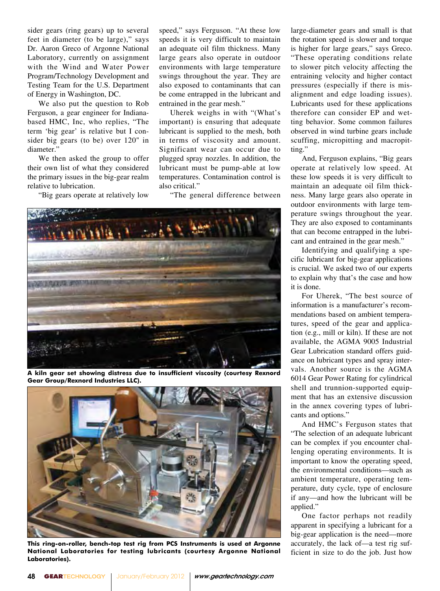sider gears (ring gears) up to several feet in diameter (to be large)," says Dr. Aaron Greco of Argonne National Laboratory, currently on assignment with the Wind and Water Power Program/Technology Development and Testing Team for the U.S. Department of Energy in Washington, DC.

We also put the question to Rob Ferguson, a gear engineer for Indianabased HMC, Inc, who replies, "The term 'big gear' is relative but I consider big gears (to be) over 120" in diameter."

We then asked the group to offer their own list of what they considered the primary issues in the big-gear realm relative to lubrication.

"Big gears operate at relatively low

speed," says Ferguson. "At these low speeds it is very difficult to maintain an adequate oil film thickness. Many large gears also operate in outdoor environments with large temperature swings throughout the year. They are also exposed to contaminants that can be come entrapped in the lubricant and entrained in the gear mesh."

Uherek weighs in with "(What's important) is ensuring that adequate lubricant is supplied to the mesh, both in terms of viscosity and amount. Significant wear can occur due to plugged spray nozzles. In addition, the lubricant must be pump-able at low temperatures. Contamination control is also critical."

"The general difference between



**A kiln gear set showing distress due to insufficient viscosity (courtesy Rexnord Gear Group/Rexnord Industries LLC).**



**This ring-on-roller, bench-top test rig from PCS Instruments is used at Argonne National Laboratories for testing lubricants (courtesy Argonne National Laboratories).** 

large-diameter gears and small is that the rotation speed is slower and torque is higher for large gears," says Greco. "These operating conditions relate to slower pitch velocity affecting the entraining velocity and higher contact pressures (especially if there is misalignment and edge loading issues). Lubricants used for these applications therefore can consider EP and wetting behavior. Some common failures observed in wind turbine gears include scuffing, micropitting and macropitting."

And, Ferguson explains, "Big gears operate at relatively low speed. At these low speeds it is very difficult to maintain an adequate oil film thickness. Many large gears also operate in outdoor environments with large temperature swings throughout the year. They are also exposed to contaminants that can become entrapped in the lubricant and entrained in the gear mesh."

Identifying and qualifying a specific lubricant for big-gear applications is crucial. We asked two of our experts to explain why that's the case and how it is done.

For Uherek, "The best source of information is a manufacturer's recommendations based on ambient temperatures, speed of the gear and application (e.g., mill or kiln). If these are not available, the AGMA 9005 Industrial Gear Lubrication standard offers guidance on lubricant types and spray intervals. Another source is the AGMA 6014 Gear Power Rating for cylindrical shell and trunnion-supported equipment that has an extensive discussion in the annex covering types of lubricants and options."

And HMC's Ferguson states that "The selection of an adequate lubricant can be complex if you encounter challenging operating environments. It is important to know the operating speed, the environmental conditions—such as ambient temperature, operating temperature, duty cycle, type of enclosure if any—and how the lubricant will be applied."

One factor perhaps not readily apparent in specifying a lubricant for a big-gear application is the need—more accurately, the lack of—a test rig sufficient in size to do the job. Just how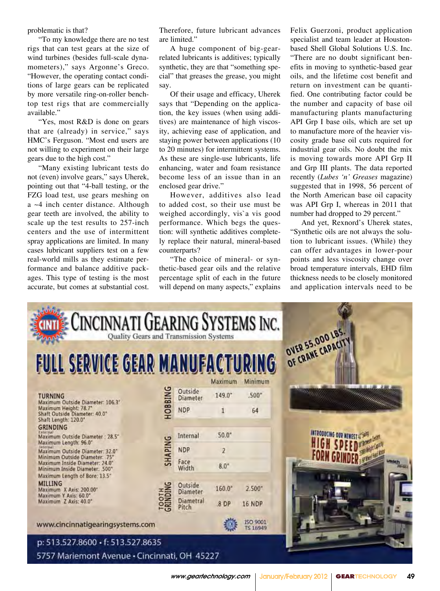problematic is that?

"To my knowledge there are no test rigs that can test gears at the size of wind turbines (besides full-scale dynamometers)," says Argonne's Greco. "However, the operating contact conditions of large gears can be replicated by more versatile ring-on-roller benchtop test rigs that are commercially available."

"Yes, most R&D is done on gears that are (already) in service," says HMC's Ferguson. "Most end users are not willing to experiment on their large gears due to the high cost."

"Many existing lubricant tests do not (even) involve gears," says Uherek, pointing out that "4-ball testing, or the FZG load test, use gears meshing on a ~4 inch center distance. Although gear teeth are involved, the ability to scale up the test results to 257-inch centers and the use of intermittent spray applications are limited. In many cases lubricant suppliers test on a few real-world mills as they estimate performance and balance additive packages. This type of testing is the most accurate, but comes at substantial cost. Therefore, future lubricant advances are limited."

A huge component of big-gearrelated lubricants is additives; typically synthetic, they are that "something special" that greases the grease, you might say.

Of their usage and efficacy, Uherek says that "Depending on the application, the key issues (when using additives) are maintenance of high viscosity, achieving ease of application, and staying power between applications (10 to 20 minutes) for intermittent systems. As these are single-use lubricants, life enhancing, water and foam resistance become less of an issue than in an enclosed gear drive."

However, additives also lead to added cost, so their use must be weighed accordingly, vis`a vis good performance. Which begs the question: will synthetic additives completely replace their natural, mineral-based counterparts?

"The choice of mineral- or synthetic-based gear oils and the relative percentage split of each in the future will depend on many aspects," explains Felix Guerzoni, product application specialist and team leader at Houstonbased Shell Global Solutions U.S. Inc. "There are no doubt significant benefits in moving to synthetic-based gear oils, and the lifetime cost benefit and return on investment can be quantified. One contributing factor could be the number and capacity of base oil manufacturing plants manufacturing API Grp I base oils, which are set up to manufacture more of the heavier viscosity grade base oil cuts required for industrial gear oils. No doubt the mix is moving towards more API Grp II and Grp III plants. The data reported recently (*Lubes 'n' Greases* magazine) suggested that in 1998, 56 percent of the North American base oil capacity was API Grp I, whereas in 2011 that number had dropped to 29 percent."

And yet, Rexnord's Uherek states, "Synthetic oils are not always the solution to lubricant issues. (While) they can offer advantages in lower-pour points and less viscosity change over broad temperature intervals, EHD film thickness needs to be closely monitored and application intervals need to be